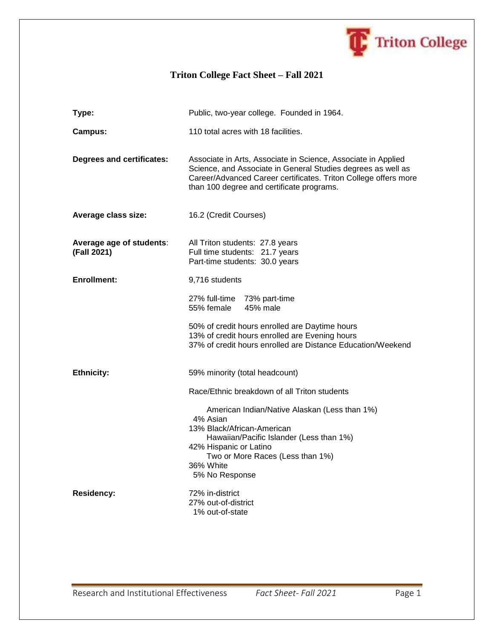

## **Triton College Fact Sheet – Fall 2021**

| Type:                                   | Public, two-year college. Founded in 1964.                                                                                                                                                                                                    |  |
|-----------------------------------------|-----------------------------------------------------------------------------------------------------------------------------------------------------------------------------------------------------------------------------------------------|--|
| <b>Campus:</b>                          | 110 total acres with 18 facilities.                                                                                                                                                                                                           |  |
| <b>Degrees and certificates:</b>        | Associate in Arts, Associate in Science, Associate in Applied<br>Science, and Associate in General Studies degrees as well as<br>Career/Advanced Career certificates. Triton College offers more<br>than 100 degree and certificate programs. |  |
| Average class size:                     | 16.2 (Credit Courses)                                                                                                                                                                                                                         |  |
| Average age of students:<br>(Fall 2021) | All Triton students: 27.8 years<br>Full time students: 21.7 years<br>Part-time students: 30.0 years                                                                                                                                           |  |
| <b>Enrollment:</b>                      | 9,716 students                                                                                                                                                                                                                                |  |
|                                         | 27% full-time 73% part-time<br>55% female<br>45% male                                                                                                                                                                                         |  |
|                                         | 50% of credit hours enrolled are Daytime hours<br>13% of credit hours enrolled are Evening hours<br>37% of credit hours enrolled are Distance Education/Weekend                                                                               |  |
| <b>Ethnicity:</b>                       | 59% minority (total headcount)<br>Race/Ethnic breakdown of all Triton students                                                                                                                                                                |  |
|                                         |                                                                                                                                                                                                                                               |  |
|                                         | American Indian/Native Alaskan (Less than 1%)<br>4% Asian<br>13% Black/African-American<br>Hawaiian/Pacific Islander (Less than 1%)<br>42% Hispanic or Latino<br>Two or More Races (Less than 1%)<br>36% White<br>5% No Response              |  |
| <b>Residency:</b>                       | 72% in-district<br>27% out-of-district<br>1% out-of-state                                                                                                                                                                                     |  |